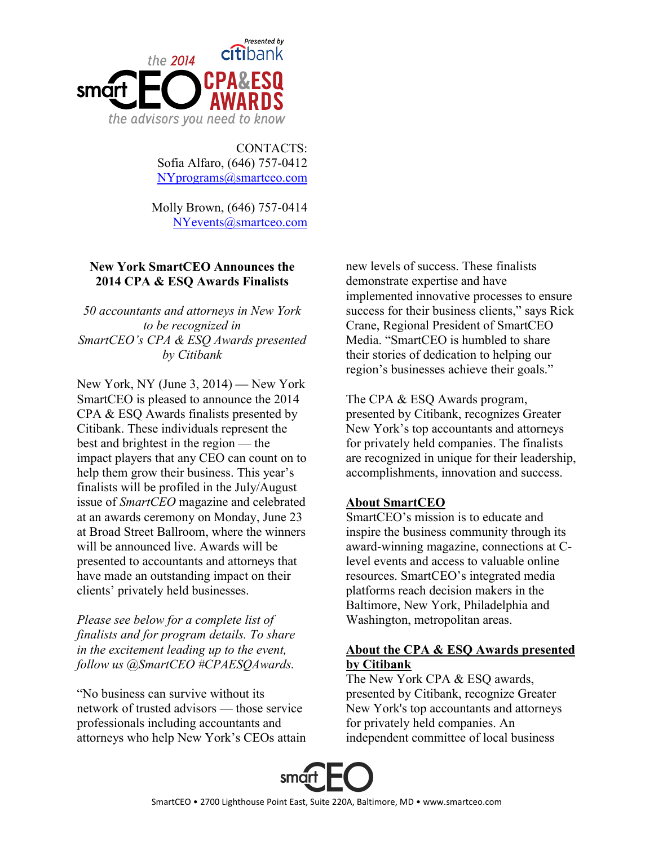

CONTACTS: Sofia Alfaro, (646) 757-0412 [NYprograms@smartceo.com](mailto:NYprograms@smartceo.com)

Molly Brown, (646) 757-0414 [NYevents@smartceo.com](mailto:NYevents@smartceo.com)

## **New York SmartCEO Announces the 2014 CPA & ESQ Awards Finalists**

*50 accountants and attorneys in New York to be recognized in SmartCEO's CPA & ESQ Awards presented by Citibank*

New York, NY (June 3, 2014) **—** New York SmartCEO is pleased to announce the 2014 CPA & ESQ Awards finalists presented by Citibank. These individuals represent the best and brightest in the region — the impact players that any CEO can count on to help them grow their business. This year's finalists will be profiled in the July/August issue of *SmartCEO* magazine and celebrated at an awards ceremony on Monday, June 23 at Broad Street Ballroom, where the winners will be announced live. Awards will be presented to accountants and attorneys that have made an outstanding impact on their clients' privately held businesses.

*Please see below for a complete list of finalists and for program details. To share in the excitement leading up to the event, follow us @SmartCEO #CPAESQAwards.*

"No business can survive without its network of trusted advisors — those service professionals including accountants and attorneys who help New York's CEOs attain new levels of success. These finalists demonstrate expertise and have implemented innovative processes to ensure success for their business clients," says Rick Crane, Regional President of SmartCEO Media. "SmartCEO is humbled to share their stories of dedication to helping our region's businesses achieve their goals."

The CPA & ESQ Awards program, presented by Citibank, recognizes Greater New York's top accountants and attorneys for privately held companies. The finalists are recognized in unique for their leadership, accomplishments, innovation and success.

## **About SmartCEO**

SmartCEO's mission is to educate and inspire the business community through its award-winning magazine, connections at Clevel events and access to valuable online resources. SmartCEO's integrated media platforms reach decision makers in the Baltimore, New York, Philadelphia and Washington, metropolitan areas.

## **About the CPA & ESQ Awards presented by Citibank**

The New York CPA & ESQ awards, presented by Citibank, recognize Greater New York's top accountants and attorneys for privately held companies. An independent committee of local business